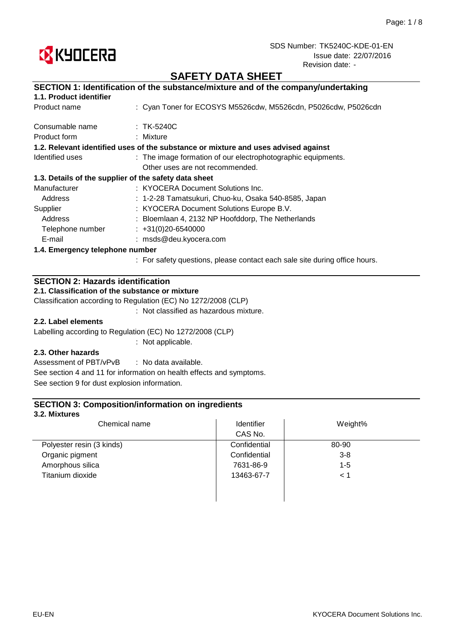

# **SAFETY DATA SHEET**

|                                                       | SECTION 1: Identification of the substance/mixture and of the company/undertaking  |  |
|-------------------------------------------------------|------------------------------------------------------------------------------------|--|
| 1.1. Product identifier                               |                                                                                    |  |
| Product name                                          | : Cyan Toner for ECOSYS M5526cdw, M5526cdn, P5026cdw, P5026cdn                     |  |
| Consumable name                                       | $:$ TK-5240C                                                                       |  |
| Product form                                          | : Mixture                                                                          |  |
|                                                       | 1.2. Relevant identified uses of the substance or mixture and uses advised against |  |
| Identified uses                                       | : The image formation of our electrophotographic equipments.                       |  |
|                                                       | Other uses are not recommended.                                                    |  |
| 1.3. Details of the supplier of the safety data sheet |                                                                                    |  |
| Manufacturer                                          | : KYOCERA Document Solutions Inc.                                                  |  |
| Address                                               | : 1-2-28 Tamatsukuri, Chuo-ku, Osaka 540-8585, Japan                               |  |
| Supplier                                              | : KYOCERA Document Solutions Europe B.V.                                           |  |
| Address                                               | : Bloemlaan 4, 2132 NP Hoofddorp, The Netherlands                                  |  |
| Telephone number                                      | $\div$ +31(0)20-6540000                                                            |  |
| E-mail                                                | : msds@deu.kyocera.com                                                             |  |
| 1.4. Emergency telephone number                       |                                                                                    |  |
|                                                       |                                                                                    |  |

: For safety questions, please contact each sale site during office hours.

## **SECTION 2: Hazards identification**

### **2.1. Classification of the substance or mixture**

Classification according to Regulation (EC) No 1272/2008 (CLP)

: Not classified as hazardous mixture.

### **2.2. Label elements**

Labelling according to Regulation (EC) No 1272/2008 (CLP)

: Not applicable.

### **2.3. Other hazards**

: No data available. Assessment of PBT/vPvB See section 4 and 11 for information on health effects and symptoms. See section 9 for dust explosion information.

### **SECTION 3: Composition/information on ingredients**

#### **3.2. Mixtures**

| Chemical name             | Identifier   | Weight% |  |
|---------------------------|--------------|---------|--|
|                           | CAS No.      |         |  |
| Polyester resin (3 kinds) | Confidential | 80-90   |  |
| Organic pigment           | Confidential | $3 - 8$ |  |
| Amorphous silica          | 7631-86-9    | $1 - 5$ |  |
| Titanium dioxide          | 13463-67-7   | < 1     |  |
|                           |              |         |  |
|                           |              |         |  |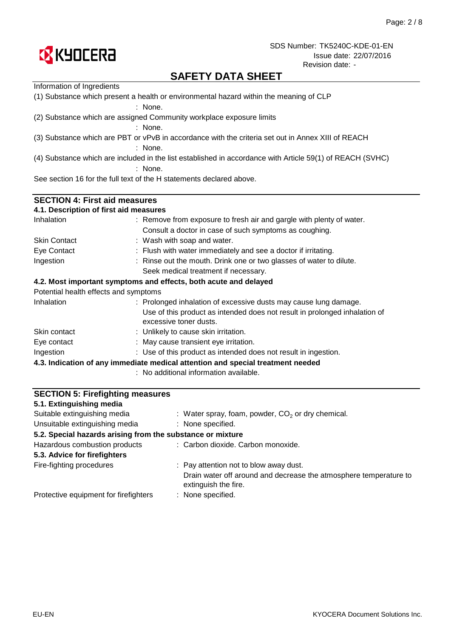

# **SAFETY DATA SHEET**

| <b>SECTION 5: Firefighting measures</b><br>54 Evtinguiching modia                      |                                                                                                           |  |  |  |  |
|----------------------------------------------------------------------------------------|-----------------------------------------------------------------------------------------------------------|--|--|--|--|
|                                                                                        | : No additional information available.                                                                    |  |  |  |  |
|                                                                                        | 4.3. Indication of any immediate medical attention and special treatment needed                           |  |  |  |  |
| Ingestion                                                                              | : Use of this product as intended does not result in ingestion.                                           |  |  |  |  |
| Eye contact                                                                            | : May cause transient eye irritation.                                                                     |  |  |  |  |
| Skin contact                                                                           | : Unlikely to cause skin irritation.                                                                      |  |  |  |  |
|                                                                                        | Use of this product as intended does not result in prolonged inhalation of<br>excessive toner dusts.      |  |  |  |  |
| Potential health effects and symptoms<br>Inhalation                                    | : Prolonged inhalation of excessive dusts may cause lung damage.                                          |  |  |  |  |
|                                                                                        | 4.2. Most important symptoms and effects, both acute and delayed                                          |  |  |  |  |
|                                                                                        | Seek medical treatment if necessary.                                                                      |  |  |  |  |
| Ingestion                                                                              | : Rinse out the mouth. Drink one or two glasses of water to dilute.                                       |  |  |  |  |
| Eye Contact                                                                            | : Flush with water immediately and see a doctor if irritating.                                            |  |  |  |  |
| <b>Skin Contact</b>                                                                    | : Wash with soap and water.                                                                               |  |  |  |  |
|                                                                                        | Consult a doctor in case of such symptoms as coughing.                                                    |  |  |  |  |
| Inhalation                                                                             | : Remove from exposure to fresh air and gargle with plenty of water.                                      |  |  |  |  |
| <b>SECTION 4: First aid measures</b><br>4.1. Description of first aid measures         |                                                                                                           |  |  |  |  |
|                                                                                        |                                                                                                           |  |  |  |  |
|                                                                                        | See section 16 for the full text of the H statements declared above.                                      |  |  |  |  |
|                                                                                        | : None.                                                                                                   |  |  |  |  |
|                                                                                        | (4) Substance which are included in the list established in accordance with Article 59(1) of REACH (SVHC) |  |  |  |  |
|                                                                                        | : None.                                                                                                   |  |  |  |  |
|                                                                                        | (3) Substance which are PBT or vPvB in accordance with the criteria set out in Annex XIII of REACH        |  |  |  |  |
|                                                                                        | (2) Substance which are assigned Community workplace exposure limits<br>: None.                           |  |  |  |  |
|                                                                                        | $:$ None.                                                                                                 |  |  |  |  |
| (1) Substance which present a health or environmental hazard within the meaning of CLP |                                                                                                           |  |  |  |  |
| Information of Ingredients                                                             |                                                                                                           |  |  |  |  |

| 5.1. Extinguishing media                                   |                                                                                           |
|------------------------------------------------------------|-------------------------------------------------------------------------------------------|
| Suitable extinguishing media                               | : Water spray, foam, powder, $CO2$ or dry chemical.                                       |
| Unsuitable extinguishing media                             | : None specified.                                                                         |
| 5.2. Special hazards arising from the substance or mixture |                                                                                           |
| Hazardous combustion products                              | : Carbon dioxide. Carbon monoxide.                                                        |
| 5.3. Advice for firefighters                               |                                                                                           |
| Fire-fighting procedures                                   | : Pay attention not to blow away dust.                                                    |
|                                                            | Drain water off around and decrease the atmosphere temperature to<br>extinguish the fire. |
| Protective equipment for firefighters                      | : None specified.                                                                         |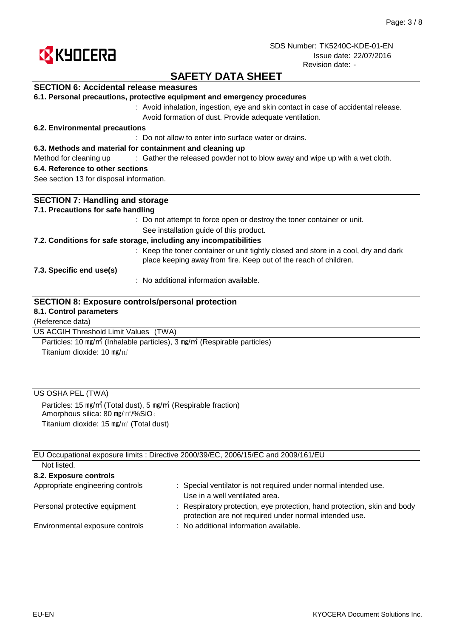

# **SAFETY DATA SHEET**

### **SECTION 6: Accidental release measures**

|  |  |  |  |  |  | 6.1. Personal precautions, protective equipment and emergency procedures |
|--|--|--|--|--|--|--------------------------------------------------------------------------|
|--|--|--|--|--|--|--------------------------------------------------------------------------|

: Avoid inhalation, ingestion, eye and skin contact in case of accidental release. Avoid formation of dust. Provide adequate ventilation.

#### **6.2. Environmental precautions**

: Do not allow to enter into surface water or drains.

#### **6.3. Methods and material for containment and cleaning up**

Method for cleaning up exclosive of the released powder not to blow away and wipe up with a wet cloth.

#### **6.4. Reference to other sections**

See section 13 for disposal information.

| <b>SECTION 7: Handling and storage</b>                                                                                                                  |
|---------------------------------------------------------------------------------------------------------------------------------------------------------|
| 7.1. Precautions for safe handling                                                                                                                      |
| : Do not attempt to force open or destroy the toner container or unit.                                                                                  |
| See installation guide of this product.                                                                                                                 |
| 7.2. Conditions for safe storage, including any incompatibilities                                                                                       |
| : Keep the toner container or unit tightly closed and store in a cool, dry and dark<br>place keeping away from fire. Keep out of the reach of children. |
| 7.3. Specific end use(s)                                                                                                                                |
| $\therefore$ No additional information available.                                                                                                       |
| <b>SECTION 8: Exposure controls/personal protection</b><br>8.1. Control parameters                                                                      |
| (Reference data)                                                                                                                                        |
| US ACGIH Threshold Limit Values<br>(TWA)                                                                                                                |

Titanium dioxide: 10 mg/m<sup>3</sup> Particles: 10 ㎎/㎥ (Inhalable particles), 3 ㎎/㎥ (Respirable particles)

### US OSHA PEL (TWA)

Particles: 15 ㎎/㎥ (Total dust), 5 ㎎/㎥ (Respirable fraction) Amorphous silica: 80 mg/m<sup>3</sup>/%SiO<sub>2</sub> Titanium dioxide: 15 ㎎/㎥ (Total dust)

EU Occupational exposure limits : Directive 2000/39/EC, 2006/15/EC and 2009/161/EU Not listed.

| TVUL IISLUU.                     |                                                                                                                                    |
|----------------------------------|------------------------------------------------------------------------------------------------------------------------------------|
| 8.2. Exposure controls           |                                                                                                                                    |
| Appropriate engineering controls | : Special ventilator is not required under normal intended use.<br>Use in a well ventilated area.                                  |
| Personal protective equipment    | : Respiratory protection, eye protection, hand protection, skin and body<br>protection are not required under normal intended use. |
| Environmental exposure controls  | : No additional information available.                                                                                             |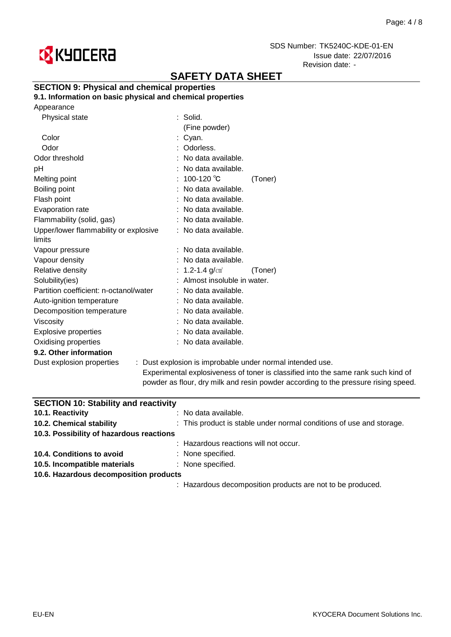

# **SAFETY DATA SHEET**

## **SECTION 9: Physical and chemical properties**

**9.1. Information on basic physical and chemical properties**

|  | Appearance |
|--|------------|
|--|------------|

| Physical state                                  | $:$ Solid.                   |                                                                                |
|-------------------------------------------------|------------------------------|--------------------------------------------------------------------------------|
|                                                 | (Fine powder)                |                                                                                |
| Color                                           | : Cyan.                      |                                                                                |
| Odor                                            | : Odorless.                  |                                                                                |
| Odor threshold                                  | : No data available.         |                                                                                |
| рH                                              | : No data available.         |                                                                                |
| Melting point                                   | : 100-120 $^{\circ}$ C       | (Toner)                                                                        |
| Boiling point                                   | : No data available.         |                                                                                |
| Flash point                                     | : No data available.         |                                                                                |
| Evaporation rate                                | : No data available.         |                                                                                |
| Flammability (solid, gas)                       | : No data available.         |                                                                                |
| Upper/lower flammability or explosive<br>limits | : No data available.         |                                                                                |
| Vapour pressure                                 | : No data available.         |                                                                                |
| Vapour density                                  | : No data available.         |                                                                                |
| Relative density                                | : 1.2-1.4 $g/cm^{3}$         | (Toner)                                                                        |
| Solubility(ies)                                 | : Almost insoluble in water. |                                                                                |
| Partition coefficient: n-octanol/water          | : No data available.         |                                                                                |
| Auto-ignition temperature                       | : No data available.         |                                                                                |
| Decomposition temperature                       | : No data available.         |                                                                                |
| Viscosity                                       | : No data available.         |                                                                                |
| <b>Explosive properties</b>                     | : No data available.         |                                                                                |
| Oxidising properties                            | : No data available.         |                                                                                |
| 9.2. Other information                          |                              |                                                                                |
| Dust explosion properties                       |                              | : Dust explosion is improbable under normal intended use.                      |
|                                                 |                              | ويطلق والمتلأل والكالم والمواجر المتواصل والمتحدث والمتحدث والمتحدود والمتحدود |

Experimental explosiveness of toner is classified into the same rank such kind of powder as flour, dry milk and resin powder according to the pressure rising speed.

| <b>SECTION 10: Stability and reactivity</b> |                                                                      |
|---------------------------------------------|----------------------------------------------------------------------|
| 10.1. Reactivity                            | : No data available.                                                 |
| 10.2. Chemical stability                    | : This product is stable under normal conditions of use and storage. |
| 10.3. Possibility of hazardous reactions    |                                                                      |
|                                             | : Hazardous reactions will not occur.                                |
| 10.4. Conditions to avoid                   | : None specified.                                                    |
| 10.5. Incompatible materials                | : None specified.                                                    |
| 10.6. Hazardous decomposition products      |                                                                      |
|                                             | : Hazardous decomposition products are not to be produced.           |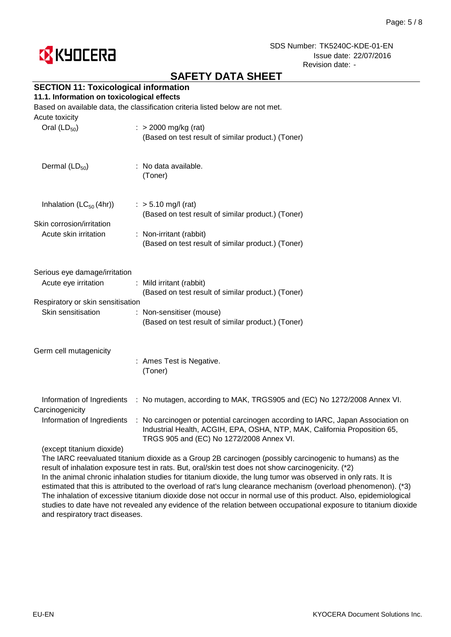

# **SAFETY DATA SHEET**

## **SECTION 11: Toxicological information**

### **11.1. Information on toxicological effects**

Based on available data, the classification criteria listed below are not met.

| $\therefore$ > 2000 mg/kg (rat)<br>(Based on test result of similar product.) (Toner)                                                                                                                    |
|----------------------------------------------------------------------------------------------------------------------------------------------------------------------------------------------------------|
| : No data available.<br>(Toner)                                                                                                                                                                          |
| $:$ > 5.10 mg/l (rat)<br>(Based on test result of similar product.) (Toner)                                                                                                                              |
|                                                                                                                                                                                                          |
| : Non-irritant (rabbit)<br>(Based on test result of similar product.) (Toner)                                                                                                                            |
|                                                                                                                                                                                                          |
| Serious eye damage/irritation                                                                                                                                                                            |
| : Mild irritant (rabbit)<br>(Based on test result of similar product.) (Toner)                                                                                                                           |
| Respiratory or skin sensitisation                                                                                                                                                                        |
| : Non-sensitiser (mouse)                                                                                                                                                                                 |
| (Based on test result of similar product.) (Toner)                                                                                                                                                       |
|                                                                                                                                                                                                          |
| : Ames Test is Negative.<br>(Toner)                                                                                                                                                                      |
|                                                                                                                                                                                                          |
| : No mutagen, according to MAK, TRGS905 and (EC) No 1272/2008 Annex VI.                                                                                                                                  |
| : No carcinogen or potential carcinogen according to IARC, Japan Association on<br>Industrial Health, ACGIH, EPA, OSHA, NTP, MAK, California Proposition 65,<br>TRGS 905 and (EC) No 1272/2008 Annex VI. |
|                                                                                                                                                                                                          |
|                                                                                                                                                                                                          |

The IARC reevaluated titanium dioxide as a Group 2B carcinogen (possibly carcinogenic to humans) as the result of inhalation exposure test in rats. But, oral/skin test does not show carcinogenicity. (\*2) In the animal chronic inhalation studies for titanium dioxide, the lung tumor was observed in only rats. It is estimated that this is attributed to the overload of rat's lung clearance mechanism (overload phenomenon). (\*3) The inhalation of excessive titanium dioxide dose not occur in normal use of this product. Also, epidemiological studies to date have not revealed any evidence of the relation between occupational exposure to titanium dioxide and respiratory tract diseases.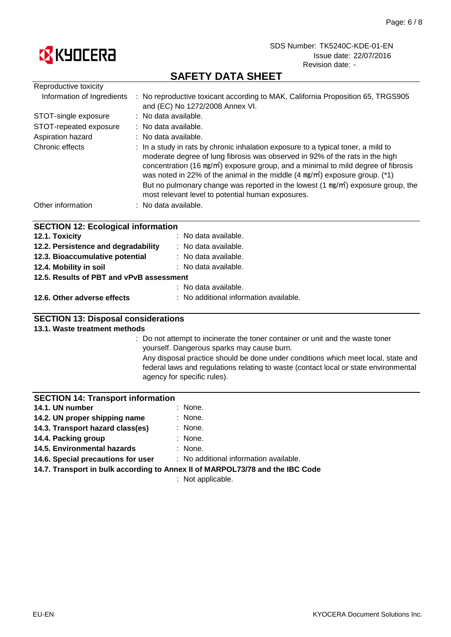

# **SAFETY DATA SHEET**

| Reproductive toxicity                     |                                                                                                                                                                                                                                                                                                                                                                                                                                                                                                                   |
|-------------------------------------------|-------------------------------------------------------------------------------------------------------------------------------------------------------------------------------------------------------------------------------------------------------------------------------------------------------------------------------------------------------------------------------------------------------------------------------------------------------------------------------------------------------------------|
| Information of Ingredients                | : No reproductive toxicant according to MAK, California Proposition 65, TRGS905<br>and (EC) No 1272/2008 Annex VI.                                                                                                                                                                                                                                                                                                                                                                                                |
| STOT-single exposure                      | : No data available.                                                                                                                                                                                                                                                                                                                                                                                                                                                                                              |
| STOT-repeated exposure                    | : No data available.                                                                                                                                                                                                                                                                                                                                                                                                                                                                                              |
| Aspiration hazard                         | : No data available.                                                                                                                                                                                                                                                                                                                                                                                                                                                                                              |
| Chronic effects                           | : In a study in rats by chronic inhalation exposure to a typical toner, a mild to<br>moderate degree of lung fibrosis was observed in 92% of the rats in the high<br>concentration (16 mg/m <sup>2</sup> ) exposure group, and a minimal to mild degree of fibrosis<br>was noted in 22% of the animal in the middle $(4 \text{ mg/m}^3)$ exposure group. (*1)<br>But no pulmonary change was reported in the lowest $(1 \text{ mg/m}^3)$ exposure group, the<br>most relevant level to potential human exposures. |
| Other information                         | : No data available.                                                                                                                                                                                                                                                                                                                                                                                                                                                                                              |
| <b>SECTION 12: Ecological information</b> |                                                                                                                                                                                                                                                                                                                                                                                                                                                                                                                   |
| 12.1. Toxicity                            | : No data available.                                                                                                                                                                                                                                                                                                                                                                                                                                                                                              |
| 12.2. Persistence and degradability       | : No data available.                                                                                                                                                                                                                                                                                                                                                                                                                                                                                              |
| 12.3. Bioaccumulative potential           | : No data available.                                                                                                                                                                                                                                                                                                                                                                                                                                                                                              |
| 12.4. Mobility in soil                    | : No data available.                                                                                                                                                                                                                                                                                                                                                                                                                                                                                              |

**12.5. Results of PBT and vPvB assessment**

| . |  | $\mathbf{r}$ . The set of the set of the set of $\mathbf{r}$ |  |
|---|--|--------------------------------------------------------------|--|
|   |  | : No data available.                                         |  |

# **12.6. Other adverse effects** : No additional information available.

## **SECTION 13: Disposal considerations**

### **13.1. Waste treatment methods**

: Do not attempt to incinerate the toner container or unit and the waste toner yourself. Dangerous sparks may cause burn.

Any disposal practice should be done under conditions which meet local, state and federal laws and regulations relating to waste (contact local or state environmental agency for specific rules).

### **SECTION 14: Transport information**

| 14.1. UN number                  | : None. |
|----------------------------------|---------|
| 14.2. UN proper shipping name    | : None. |
| 14.3. Transport hazard class(es) | : None. |

- **14.3. Transport hazard class(es)**
- : None. **14.4. Packing group**
- : None. **14.6. Special precautions for user 14.5. Environmental hazards**

: No additional information available.

**14.7. Transport in bulk according to Annex II of MARPOL73/78 and the IBC Code**

: Not applicable.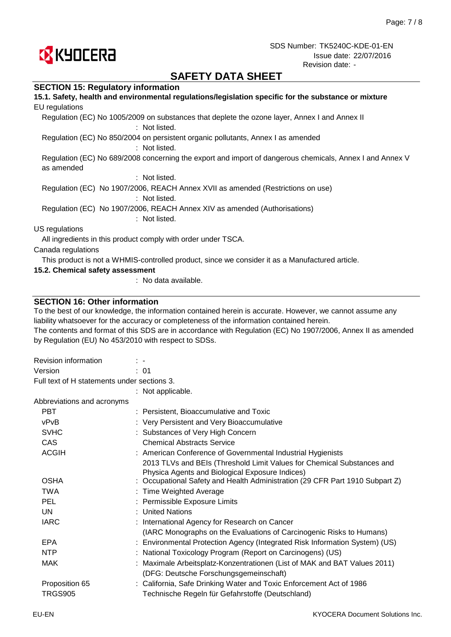

# **SAFETY DATA SHEET**

### **SECTION 15: Regulatory information**

| 15.1. Safety, health and environmental regulations/legislation specific for the substance or mixture                   |
|------------------------------------------------------------------------------------------------------------------------|
| EU regulations                                                                                                         |
| Regulation (EC) No 1005/2009 on substances that deplete the ozone layer, Annex I and Annex II<br>: Not listed.         |
| Regulation (EC) No 850/2004 on persistent organic pollutants, Annex I as amended<br>: Not listed.                      |
| Regulation (EC) No 689/2008 concerning the export and import of dangerous chemicals, Annex I and Annex V<br>as amended |
| $:$ Not listed.                                                                                                        |
| Regulation (EC) No 1907/2006, REACH Annex XVII as amended (Restrictions on use)<br>: Not listed.                       |
| Regulation (EC) No 1907/2006, REACH Annex XIV as amended (Authorisations)<br>: Not listed.                             |
| US regulations                                                                                                         |
| All ingredients in this product comply with order under TSCA.                                                          |
| Canada regulations                                                                                                     |
| This product is not a WHMIS-controlled product, since we consider it as a Manufactured article.                        |
| 15.2. Chemical safety assessment                                                                                       |

: No data available.

### **SECTION 16: Other information**

To the best of our knowledge, the information contained herein is accurate. However, we cannot assume any liability whatsoever for the accuracy or completeness of the information contained herein.

The contents and format of this SDS are in accordance with Regulation (EC) No 1907/2006, Annex II as amended by Regulation (EU) No 453/2010 with respect to SDSs.

| Revision information                        | $\mathbb{R}^n$                                                                                                            |
|---------------------------------------------|---------------------------------------------------------------------------------------------------------------------------|
| Version                                     | : 01                                                                                                                      |
| Full text of H statements under sections 3. |                                                                                                                           |
|                                             | : Not applicable.                                                                                                         |
| Abbreviations and acronyms                  |                                                                                                                           |
| <b>PBT</b>                                  | : Persistent, Bioaccumulative and Toxic                                                                                   |
| vPvB                                        | : Very Persistent and Very Bioaccumulative                                                                                |
| <b>SVHC</b>                                 | : Substances of Very High Concern                                                                                         |
| <b>CAS</b>                                  | <b>Chemical Abstracts Service</b>                                                                                         |
| <b>ACGIH</b>                                | : American Conference of Governmental Industrial Hygienists                                                               |
|                                             | 2013 TLVs and BEIs (Threshold Limit Values for Chemical Substances and<br>Physica Agents and Biological Exposure Indices) |
| <b>OSHA</b>                                 | : Occupational Safety and Health Administration (29 CFR Part 1910 Subpart Z)                                              |
| <b>TWA</b>                                  | : Time Weighted Average                                                                                                   |
| <b>PEL</b>                                  | : Permissible Exposure Limits                                                                                             |
| UN                                          | : United Nations                                                                                                          |
| <b>IARC</b>                                 | : International Agency for Research on Cancer                                                                             |
|                                             | (IARC Monographs on the Evaluations of Carcinogenic Risks to Humans)                                                      |
| <b>EPA</b>                                  | : Environmental Protection Agency (Integrated Risk Information System) (US)                                               |
| <b>NTP</b>                                  | : National Toxicology Program (Report on Carcinogens) (US)                                                                |
| <b>MAK</b>                                  | : Maximale Arbeitsplatz-Konzentrationen (List of MAK and BAT Values 2011)                                                 |
|                                             | (DFG: Deutsche Forschungsgemeinschaft)                                                                                    |
| Proposition 65                              | : California, Safe Drinking Water and Toxic Enforcement Act of 1986                                                       |
| <b>TRGS905</b>                              | Technische Regeln für Gefahrstoffe (Deutschland)                                                                          |